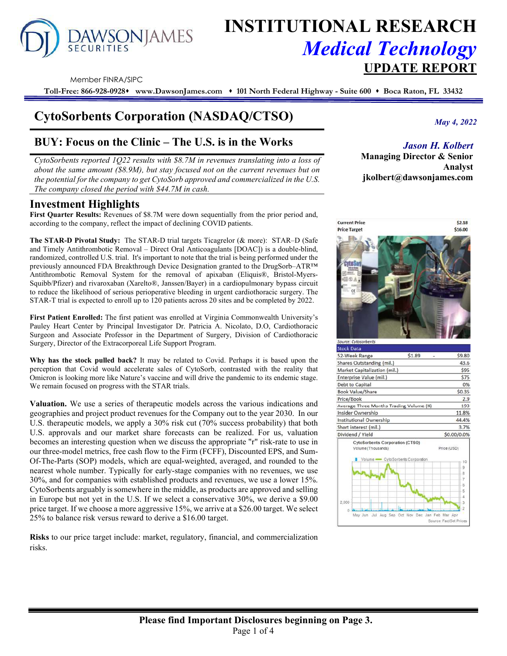# DAWSONJAMES

# **INSTITUTIONAL RESEARCH** *Medical Technology*  **UPDATE REPORT**

Member FINRA/SIPC

**Toll-Free: 866-928-0928 www.DawsonJames.com 101 North Federal Highway - Suite 600 Boca Raton, FL 33432**

# **CytoSorbents Corporation (NASDAQ/CTSO)**

# **BUY: Focus on the Clinic – The U.S. is in the Works**

*CytoSorbents reported 1Q22 results with \$8.7M in revenues translating into a loss of about the same amount (\$8.9M), but stay focused not on the current revenues but on the potential for the company to get CytoSorb approved and commercialized in the U.S. The company closed the period with \$44.7M in cash.*

## **Investment Highlights**

First Quarter Results: Revenues of \$8.7M were down sequentially from the prior period and, according to the company, reflect the impact of declining COVID patients.

**The STAR-D Pivotal Study:** The STAR-D trial targets Ticagrelor (& more): STAR–D (Safe and Timely Antithrombotic Removal – Direct Oral Anticoagulants [DOAC]) is a double-blind, randomized, controlled U.S. trial. It's important to note that the trial is being performed under the previously announced FDA Breakthrough Device Designation granted to the DrugSorb–ATR™ Antithrombotic Removal System for the removal of apixaban (Eliquis®, Bristol-Myers-Squibb/Pfizer) and rivaroxaban (Xarelto®, Janssen/Bayer) in a cardiopulmonary bypass circuit to reduce the likelihood of serious perioperative bleeding in urgent cardiothoracic surgery. The STAR-T trial is expected to enroll up to 120 patients across 20 sites and be completed by 2022.

**First Patient Enrolled:** The first patient was enrolled at Virginia Commonwealth University's Pauley Heart Center by Principal Investigator Dr. Patricia A. Nicolato, D.O, Cardiothoracic Surgeon and Associate Professor in the Department of Surgery, Division of Cardiothoracic Surgery, Director of the Extracorporeal Life Support Program.

**Why has the stock pulled back?** It may be related to Covid. Perhaps it is based upon the perception that Covid would accelerate sales of CytoSorb, contrasted with the reality that Omicron is looking more like Nature's vaccine and will drive the pandemic to its endemic stage. We remain focused on progress with the STAR trials.

**Valuation.** We use a series of therapeutic models across the various indications and geographies and project product revenues for the Company out to the year 2030. In our U.S. therapeutic models, we apply a 30% risk cut (70% success probability) that both U.S. approvals and our market share forecasts can be realized. For us, valuation becomes an interesting question when we discuss the appropriate "r" risk-rate to use in our three-model metrics, free cash flow to the Firm (FCFF), Discounted EPS, and Sum-Of-The-Parts (SOP) models, which are equal-weighted, averaged, and rounded to the nearest whole number. Typically for early-stage companies with no revenues, we use 30%, and for companies with established products and revenues, we use a lower 15%. CytoSorbents arguably is somewhere in the middle, as products are approved and selling in Europe but not yet in the U.S. If we select a conservative 30%, we derive a \$9.00 price target. If we choose a more aggressive 15%, we arrive at a \$26.00 target. We select 25% to balance risk versus reward to derive a \$16.00 target.

**Risks** to our price target include: market, regulatory, financial, and commercialization risks.

*May 4, 2022*

## *Jason H. Kolbert*

**Managing Director & Senior Analyst jkolbert@dawsonjames.com** 

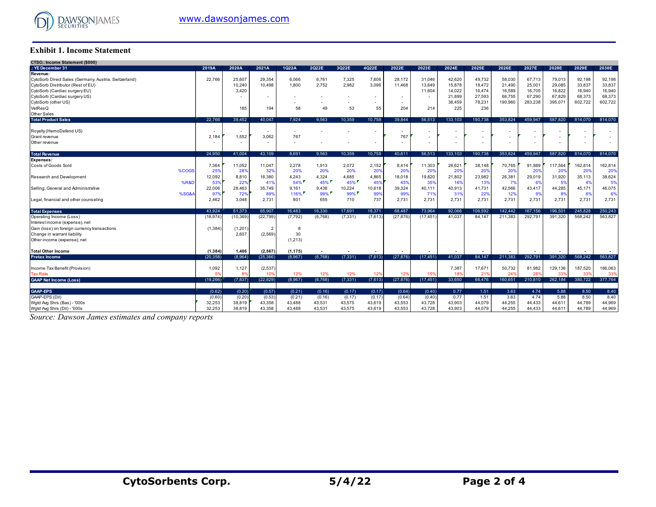

#### **Exhibit 1. Income Statement**

| CTSO.: Income Statement (\$000)                       |           |                          |                          |          |          |                          |                          |                          |           |         |                          |                          |         |         |         |         |
|-------------------------------------------------------|-----------|--------------------------|--------------------------|----------|----------|--------------------------|--------------------------|--------------------------|-----------|---------|--------------------------|--------------------------|---------|---------|---------|---------|
| YE December 31                                        | 2019A     | 2020A                    | 2021A                    | 1Q22A    | 2Q22E    | 3Q22E                    | 4022E                    | 2022E                    | 2023E     | 2024E   | 2025E                    | 2026E                    | 2027E   | 2028E   | 2029E   | 2030E   |
| Revenue:                                              |           |                          |                          |          |          |                          |                          |                          |           |         |                          |                          |         |         |         |         |
| CytoSorb Direct Sales (Germany, Austria, Switzerland) | 22,766    | 25,607                   | 29,354                   | 6.066    | 6,761    | 7,325                    | 7,606                    | 28,172                   | 31,046    | 42,620  | 49,732                   | 58,030                   | 67,713  | 79.013  | 92,198  | 92,198  |
| CytoSorb Distributor (Rest of EU)                     |           | 10,240                   | 10,498                   | 1,800    | 2,752    | 2,982                    | 3,096                    | 11.468                   | 13,649    | 15,878  | 18,472                   | 21,490                   | 25,001  | 29,085  | 33,837  | 33,837  |
| CytoSorb (Cardiac surgery EU)                         |           | 3,420                    |                          |          |          |                          |                          |                          | 11,604    | 14,022  | 16,474                   | 16,589                   | 16,705  | 16,822  | 16,940  | 16,940  |
| CytoSorb (Cardiac surgery US)                         |           |                          |                          |          |          |                          |                          |                          |           | 21,899  | 27,593                   | 66,755                   | 67,290  | 67,829  | 68,373  | 68,373  |
| CytoSorb (other US)                                   |           |                          |                          |          |          | $\overline{\phantom{a}}$ | $\sim$                   |                          |           | 38,459  | 78,231                   | 190,960                  | 283,238 | 395,071 | 602,722 | 602,722 |
| VetResQ                                               |           | 185                      | 194                      | 58       | 49       | 53                       | 55                       | 204                      | 214       | 225     | 236                      |                          |         |         |         |         |
| Other Sales                                           |           |                          |                          |          |          |                          |                          |                          |           |         |                          |                          |         |         |         |         |
| <b>Total Product Sales</b>                            | 22.766    | 39.452                   | 40.047                   | 7.924    | 9.563    | 10,359                   | 10,758                   | 39.844                   | 56,513    | 133,103 | 190,738                  | 353.824                  | 459,947 | 587.820 | 814.070 | 814.070 |
| Royalty (HemoDefend US)                               |           | $\overline{\phantom{a}}$ | $\overline{\phantom{a}}$ |          |          |                          | $\overline{\phantom{a}}$ | $\overline{\phantom{a}}$ |           |         |                          |                          |         |         |         |         |
| Grant revenue                                         | 2,184     | 1,552                    | 3,062                    | 767      |          |                          |                          | 767                      |           |         |                          |                          |         |         |         |         |
| Other revenue                                         |           | $\overline{\phantom{a}}$ | $\overline{\phantom{a}}$ | ٠        |          |                          | $\overline{\phantom{a}}$ |                          | ٠         |         | $\overline{\phantom{a}}$ | $\overline{\phantom{a}}$ |         |         | ٠       |         |
| <b>Total Revenue</b>                                  | 24.950    | 41.004                   | 43.109                   | 8.691    | 9.563    | 10.359                   | 10,758                   | 40.611                   | 56,513    | 133,103 | 190.738                  | 353.824                  | 459.947 | 587.820 | 814.070 | 814,070 |
| <b>Expenses:</b>                                      |           |                          |                          |          |          |                          |                          |                          |           |         |                          |                          |         |         |         |         |
| Costs of Goods Sold                                   | 7,364     | 11,052                   | 11,047                   | 2,278    | 1,913    | 2,072                    | 2,152                    | 8,414                    | 11,303    | 26,621  | 38,148                   | 70,765                   | 91.989  | 117.564 | 162,814 | 162,814 |
| %COGS                                                 | 25%       | 28%                      | 32%                      | 20%      | 20%      | 20%                      | 20%                      | 20 <sup>9</sup>          | 20%       | 20%     | 20%                      | 20%                      | 20%     | 20%     | 20%     | 20%     |
| <b>Research and Development</b>                       | 12,092    | 8,810                    | 16,380                   | 4,243    | 4,324    | 4,685                    | 4,865                    | 18,018                   | 19,820    | 21,802  | 23,982                   | 26,381                   | 29,019  | 31,920  | 35,113  | 38,624  |
| <b>%R&amp;D</b>                                       | 53%       | 22%                      | 419                      | 54%      | 45%      | 45%                      | 45%                      | 45%                      | 35%       | 16%     | 13%                      | 7%                       | 6%      | 5%      | 4%      | 5%      |
| Selling, General and Administrative                   | 22,006    | 28,463                   | 35,749                   | 9,161    | 9,438    | 10,224                   | 10,618                   | 39,324                   | 40,111    | 40,913  | 41,731                   | 42,566                   | 43,417  | 44,285  | 45,171  | 46,075  |
| %SG&A                                                 | 97%       | 72%                      | 89%                      | 116%     | $99\%$   | $99\%$                   | 99%                      | 99%                      | 71%       | 31%     | 22%                      | 12%                      | 9%      | 8%      | 6%      | 6%      |
| Legal, financial and other counseling                 | 2,462     | 3.048                    | 2,731                    | 801      | 655      | 710                      | 737                      | 2,731                    | 2,731     | 2,731   | 2,731                    | 2,731                    | 2,731   | 2,731   | 2,731   | 2,731   |
| <b>Total Expenses</b>                                 | 43.924    | 51,373                   | 65.907                   | 16,483   | 16.330   | 17,691                   | 18,371                   | 68.487                   | 73,964    | 92,066  | 106,592                  | 142.442                  | 167,156 | 196,501 | 245,828 | 250,243 |
| Operating Income (Loss)                               | (18, 974) | (10, 369)                | (22, 799)                | (7, 792) | (6.768)  | (7, 331)                 | (7.613)                  | (27.876)                 | (17, 451) | 41.037  | 84.147                   | 211.383                  | 292.791 | 391.320 | 568.242 | 563,827 |
| Interest income (expense), net                        |           |                          |                          |          |          |                          |                          |                          |           |         |                          |                          |         |         |         |         |
| Gain (loss) on foreign currency transactions          | (1, 384)  | (1,201)                  | $\overline{2}$           | 8        |          |                          |                          |                          |           |         |                          |                          |         |         |         |         |
| Change in warrant liability                           |           | 2.607                    | (2,569)                  | 30       |          |                          |                          |                          |           |         |                          |                          |         |         |         |         |
| Other income (expense), net                           |           |                          |                          | (1, 213) |          |                          |                          |                          |           |         |                          |                          |         |         |         |         |
| <b>Total Other Income</b>                             | (1, 384)  | 1,406                    | (2, 567)                 | (1, 175) |          |                          |                          |                          |           |         |                          |                          |         |         |         |         |
| <b>Pretax Income</b>                                  | (20.358)  | (8.964)                  | (25, 366)                | (8,967)  | (6.768)  | (7, 331)                 | (7.613)                  | (27, 876)                | (17.451)  | 41.037  | 84.147                   | 211.383                  | 292.791 | 391.320 | 568.242 | 563.827 |
| Income Tax Benefit (Provision)                        | 1,092     | 1,127                    | (2,537)                  |          |          |                          |                          |                          |           | 7,387   | 17,671                   | 50,732                   | 81,982  | 129,136 | 187,520 | 186,063 |
| <b>Tax Rate</b>                                       | 5%        | 8%                       | 10%                      | 12%      | 12%      | 12%                      | 12%                      | 12%                      | 15%       | 18%     | 21%                      | 24%                      | 28%     | 339     | 33%     | 33%     |
| <b>GAAP Net Income (Loss)</b>                         | (19, 266) | (7, 837)                 | (22, 829)                | (8,967)  | (6, 768) | (7, 331)                 | (7,613)                  | (27, 876)                | (17, 451) | 33,650  | 66,476                   | 160,651                  | 210,810 | 262,184 | 380,722 | 377,764 |
|                                                       |           |                          |                          |          |          |                          |                          |                          |           |         |                          |                          |         |         |         |         |
| <b>GAAP-EPS</b>                                       | (0.62)    | (0.20)                   | (0.57)                   | (0.21)   | (0.16)   | (0.17)                   | (0.17)                   | (0.64)                   | (0.40)    | 0.77    | 1.51                     | 3.63                     | 4.74    | 5.88    | 8.50    | 8.40    |
| GAAP-EPS (Dil)                                        | (0.60)    | (0.20)                   | (0.53)                   | (0.21)   | (0.16)   | (0.17)                   | (0.17)                   | (0.64)                   | (0.40)    | 0.77    | 1.51                     | 3.63                     | 4.74    | 5.88    | 8.50    | 8.40    |
| Wgtd Avg Shrs (Bas) - '000s                           | 32,253    | 38,819                   | 43,358                   | 43,488   | 43,531   | 43,575                   | 43,619                   | 43,553                   | 43,728    | 43,903  | 44,079                   | 44,255                   | 44,433  | 44,611  | 44,789  | 44,969  |
| Wgtd Avg Shrs (Dil) - '000s                           | 32,253    | 38.819                   | 43.358                   | 43.488   | 43.531   | 43.575                   | 43.619                   | 43,553                   | 43.728    | 43.903  | 44.079                   | 44.255                   | 44.433  | 44.611  | 44.789  | 44,969  |

*Source: Dawson James estimates and company reports*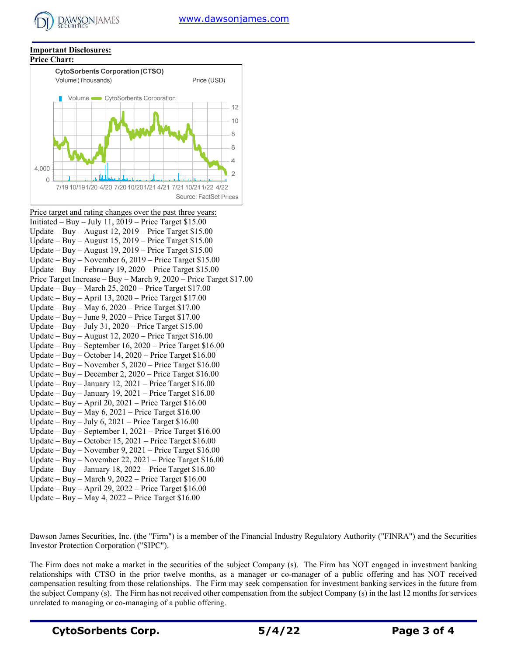#### **Important Disclosures:**

**DAWSONJAMES** 



Price target and rating changes over the past three years: Initiated – Buy – July 11,  $2019$  – Price Target \$15.00 Update – Buy – August 12, 2019 – Price Target \$15.00 Update – Buy – August 15, 2019 – Price Target \$15.00 Update – Buy – August 19, 2019 – Price Target \$15.00 Update – Buy – November 6, 2019 – Price Target \$15.00 Update – Buy – February 19, 2020 – Price Target \$15.00 Price Target Increase – Buy – March 9, 2020 – Price Target \$17.00 Update – Buy – March 25, 2020 – Price Target \$17.00 Update – Buy – April 13, 2020 – Price Target \$17.00 Update – Buy – May 6, 2020 – Price Target \$17.00 Update – Buy – June 9, 2020 – Price Target \$17.00 Update – Buy – July 31, 2020 – Price Target \$15.00 Update – Buy – August 12, 2020 – Price Target \$16.00 Update – Buy – September 16, 2020 – Price Target \$16.00 Update – Buy – October 14, 2020 – Price Target \$16.00 Update – Buy – November 5, 2020 – Price Target \$16.00 Update – Buy – December 2, 2020 – Price Target \$16.00 Update – Buy – January 12, 2021 – Price Target  $$16.00$ Update – Buy – January 19, 2021 – Price Target \$16.00 Update – Buy – April 20, 2021 – Price Target \$16.00 Update – Buy – May 6, 2021 – Price Target \$16.00 Update – Buy – July 6, 2021 – Price Target  $$16.00$ Update – Buy – September 1, 2021 – Price Target \$16.00 Update – Buy – October 15, 2021 – Price Target \$16.00 Update – Buy – November 9, 2021 – Price Target \$16.00 Update – Buy – November 22, 2021 – Price Target \$16.00 Update – Buy – January 18, 2022 – Price Target \$16.00 Update – Buy – March 9, 2022 – Price Target  $$16.00$ Update – Buy – April 29, 2022 – Price Target \$16.00 Update – Buy – May 4,  $2022$  – Price Target \$16.00

Dawson James Securities, Inc. (the "Firm") is a member of the Financial Industry Regulatory Authority ("FINRA") and the Securities Investor Protection Corporation ("SIPC").

The Firm does not make a market in the securities of the subject Company (s). The Firm has NOT engaged in investment banking relationships with CTSO in the prior twelve months, as a manager or co-manager of a public offering and has NOT received compensation resulting from those relationships. The Firm may seek compensation for investment banking services in the future from the subject Company (s). The Firm has not received other compensation from the subject Company (s) in the last 12 months for services unrelated to managing or co-managing of a public offering.